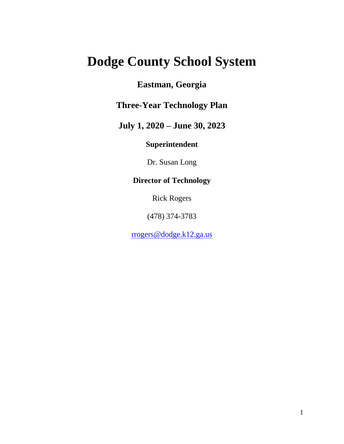# **Dodge County School System**

# **Eastman, Georgia**

# **Three-Year Technology Plan**

# **July 1, 2020 – June 30, 2023**

# **Superintendent**

Dr. Susan Long

# **Director of Technology**

Rick Rogers

(478) 374-3783

[rrogers@dodge.k12.ga.us](mailto:rrogers@dodge.k12.ga.us)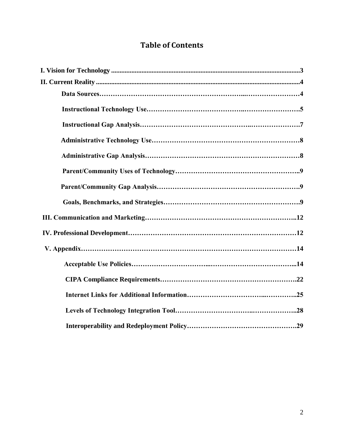# **Table of Contents**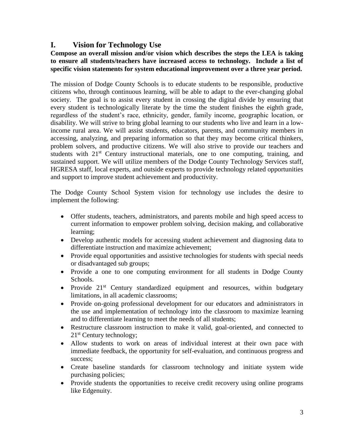# **I. Vision for Technology Use**

## **Compose an overall mission and/or vision which describes the steps the LEA is taking to ensure all students/teachers have increased access to technology. Include a list of specific vision statements for system educational improvement over a three year period.**

The mission of Dodge County Schools is to educate students to be responsible, productive citizens who, through continuous learning, will be able to adapt to the ever-changing global society. The goal is to assist every student in crossing the digital divide by ensuring that every student is technologically literate by the time the student finishes the eighth grade, regardless of the student's race, ethnicity, gender, family income, geographic location, or disability. We will strive to bring global learning to our students who live and learn in a lowincome rural area. We will assist students, educators, parents, and community members in accessing, analyzing, and preparing information so that they may become critical thinkers, problem solvers, and productive citizens. We will also strive to provide our teachers and students with  $21<sup>st</sup>$  Century instructional materials, one to one computing, training, and sustained support. We will utilize members of the Dodge County Technology Services staff, HGRESA staff, local experts, and outside experts to provide technology related opportunities and support to improve student achievement and productivity.

The Dodge County School System vision for technology use includes the desire to implement the following:

- Offer students, teachers, administrators, and parents mobile and high speed access to current information to empower problem solving, decision making, and collaborative learning;
- Develop authentic models for accessing student achievement and diagnosing data to differentiate instruction and maximize achievement;
- Provide equal opportunities and assistive technologies for students with special needs or disadvantaged sub groups;
- Provide a one to one computing environment for all students in Dodge County Schools.
- Provide  $21^{st}$  Century standardized equipment and resources, within budgetary limitations, in all academic classrooms;
- Provide on-going professional development for our educators and administrators in the use and implementation of technology into the classroom to maximize learning and to differentiate learning to meet the needs of all students;
- Restructure classroom instruction to make it valid, goal-oriented, and connected to 21<sup>st</sup> Century technology;
- Allow students to work on areas of individual interest at their own pace with immediate feedback, the opportunity for self-evaluation, and continuous progress and success;
- Create baseline standards for classroom technology and initiate system wide purchasing policies;
- Provide students the opportunities to receive credit recovery using online programs like Edgenuity.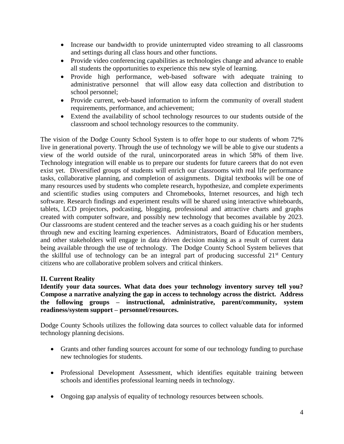- Increase our bandwidth to provide uninterrupted video streaming to all classrooms and settings during all class hours and other functions.
- Provide video conferencing capabilities as technologies change and advance to enable all students the opportunities to experience this new style of learning.
- Provide high performance, web-based software with adequate training to administrative personnel that will allow easy data collection and distribution to school personnel;
- Provide current, web-based information to inform the community of overall student requirements, performance, and achievement;
- Extend the availability of school technology resources to our students outside of the classroom and school technology resources to the community.

The vision of the Dodge County School System is to offer hope to our students of whom 72% live in generational poverty. Through the use of technology we will be able to give our students a view of the world outside of the rural, unincorporated areas in which 58% of them live. Technology integration will enable us to prepare our students for future careers that do not even exist yet. Diversified groups of students will enrich our classrooms with real life performance tasks, collaborative planning, and completion of assignments. Digital textbooks will be one of many resources used by students who complete research, hypothesize, and complete experiments and scientific studies using computers and Chromebooks, Internet resources, and high tech software. Research findings and experiment results will be shared using interactive whiteboards, tablets, LCD projectors, podcasting, blogging, professional and attractive charts and graphs created with computer software, and possibly new technology that becomes available by 2023. Our classrooms are student centered and the teacher serves as a coach guiding his or her students through new and exciting learning experiences. Administrators, Board of Education members, and other stakeholders will engage in data driven decision making as a result of current data being available through the use of technology. The Dodge County School System believes that the skillful use of technology can be an integral part of producing successful  $21<sup>st</sup>$  Century citizens who are collaborative problem solvers and critical thinkers.

# **II. Current Reality**

**Identify your data sources. What data does your technology inventory survey tell you? Compose a narrative analyzing the gap in access to technology across the district. Address the following groups – instructional, administrative, parent/community, system readiness/system support – personnel/resources.**

Dodge County Schools utilizes the following data sources to collect valuable data for informed technology planning decisions.

- Grants and other funding sources account for some of our technology funding to purchase new technologies for students.
- Professional Development Assessment, which identifies equitable training between schools and identifies professional learning needs in technology.
- Ongoing gap analysis of equality of technology resources between schools.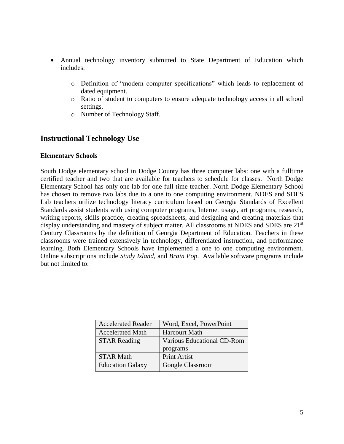- Annual technology inventory submitted to State Department of Education which includes:
	- o Definition of "modern computer specifications" which leads to replacement of dated equipment.
	- o Ratio of student to computers to ensure adequate technology access in all school settings.
	- o Number of Technology Staff.

# **Instructional Technology Use**

#### **Elementary Schools**

South Dodge elementary school in Dodge County has three computer labs: one with a fulltime certified teacher and two that are available for teachers to schedule for classes. North Dodge Elementary School has only one lab for one full time teacher. North Dodge Elementary School has chosen to remove two labs due to a one to one computing environment. NDES and SDES Lab teachers utilize technology literacy curriculum based on Georgia Standards of Excellent Standards assist students with using computer programs, Internet usage, art programs, research, writing reports, skills practice, creating spreadsheets, and designing and creating materials that display understanding and mastery of subject matter. All classrooms at NDES and SDES are 21<sup>st</sup> Century Classrooms by the definition of Georgia Department of Education. Teachers in these classrooms were trained extensively in technology, differentiated instruction, and performance learning. Both Elementary Schools have implemented a one to one computing environment. Online subscriptions include *Study Island*, and *Brain Pop*. Available software programs include but not limited to:

| <b>Accelerated Reader</b> | Word, Excel, PowerPoint    |
|---------------------------|----------------------------|
| <b>Accelerated Math</b>   | <b>Harcourt Math</b>       |
| <b>STAR Reading</b>       | Various Educational CD-Rom |
|                           |                            |
|                           | programs                   |
| <b>STAR Math</b>          | <b>Print Artist</b>        |
| <b>Education Galaxy</b>   | Google Classroom           |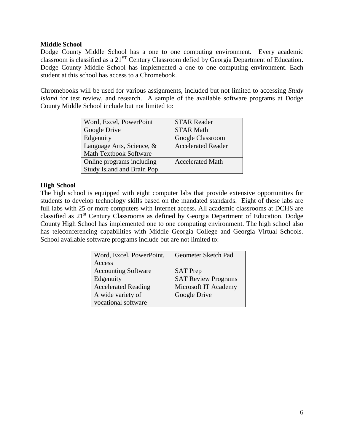#### **Middle School**

Dodge County Middle School has a one to one computing environment. Every academic classroom is classified as a 21ST Century Classroom defied by Georgia Department of Education. Dodge County Middle School has implemented a one to one computing environment. Each student at this school has access to a Chromebook.

Chromebooks will be used for various assignments, included but not limited to accessing *Study Island* for test review, and research. A sample of the available software programs at Dodge County Middle School include but not limited to:

| Word, Excel, PowerPoint           | <b>STAR Reader</b>        |
|-----------------------------------|---------------------------|
| Google Drive                      | <b>STAR Math</b>          |
| Edgenuity                         | Google Classroom          |
| Language Arts, Science, &         | <b>Accelerated Reader</b> |
| <b>Math Textbook Software</b>     |                           |
| Online programs including         | <b>Accelerated Math</b>   |
| <b>Study Island and Brain Pop</b> |                           |

### **High School**

The high school is equipped with eight computer labs that provide extensive opportunities for students to develop technology skills based on the mandated standards. Eight of these labs are full labs with 25 or more computers with Internet access. All academic classrooms at DCHS are classified as 21st Century Classrooms as defined by Georgia Department of Education. Dodge County High School has implemented one to one computing environment. The high school also has teleconferencing capabilities with Middle Georgia College and Georgia Virtual Schools. School available software programs include but are not limited to:

| Word, Excel, PowerPoint,   | Geometer Sketch Pad        |
|----------------------------|----------------------------|
| Access                     |                            |
| <b>Accounting Software</b> | <b>SAT</b> Prep            |
| Edgenuity                  | <b>SAT Review Programs</b> |
| <b>Accelerated Reading</b> | Microsoft IT Academy       |
| A wide variety of          | Google Drive               |
| vocational software        |                            |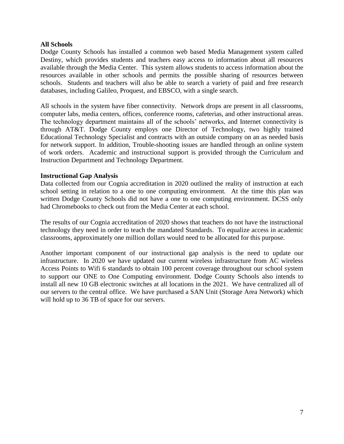#### **All Schools**

Dodge County Schools has installed a common web based Media Management system called Destiny, which provides students and teachers easy access to information about all resources available through the Media Center. This system allows students to access information about the resources available in other schools and permits the possible sharing of resources between schools. Students and teachers will also be able to search a variety of paid and free research databases, including Galileo, Proquest, and EBSCO, with a single search.

All schools in the system have fiber connectivity. Network drops are present in all classrooms, computer labs, media centers, offices, conference rooms, cafeterias, and other instructional areas. The technology department maintains all of the schools' networks, and Internet connectivity is through AT&T. Dodge County employs one Director of Technology, two highly trained Educational Technology Specialist and contracts with an outside company on an as needed basis for network support. In addition, Trouble-shooting issues are handled through an online system of work orders. Academic and instructional support is provided through the Curriculum and Instruction Department and Technology Department.

#### **Instructional Gap Analysis**

Data collected from our Cognia accreditation in 2020 outlined the reality of instruction at each school setting in relation to a one to one computing environment. At the time this plan was written Dodge County Schools did not have a one to one computing environment. DCSS only had Chromebooks to check out from the Media Center at each school.

The results of our Cognia accreditation of 2020 shows that teachers do not have the instructional technology they need in order to teach the mandated Standards. To equalize access in academic classrooms, approximately one million dollars would need to be allocated for this purpose.

Another important component of our instructional gap analysis is the need to update our infrastructure. In 2020 we have updated our current wireless infrastructure from AC wireless Access Points to Wifi 6 standards to obtain 100 percent coverage throughout our school system to support our ONE to One Computing environment. Dodge County Schools also intends to install all new 10 GB electronic switches at all locations in the 2021. We have centralized all of our servers to the central office. We have purchased a SAN Unit (Storage Area Network) which will hold up to 36 TB of space for our servers.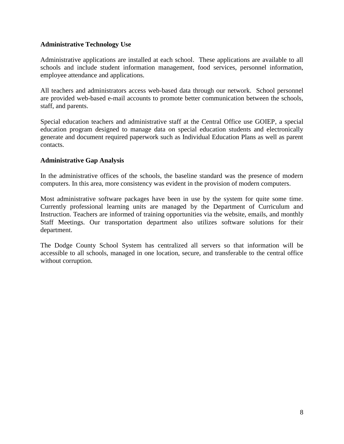### **Administrative Technology Use**

Administrative applications are installed at each school. These applications are available to all schools and include student information management, food services, personnel information, employee attendance and applications.

All teachers and administrators access web-based data through our network. School personnel are provided web-based e-mail accounts to promote better communication between the schools, staff, and parents.

Special education teachers and administrative staff at the Central Office use GOIEP, a special education program designed to manage data on special education students and electronically generate and document required paperwork such as Individual Education Plans as well as parent contacts.

### **Administrative Gap Analysis**

In the administrative offices of the schools, the baseline standard was the presence of modern computers. In this area, more consistency was evident in the provision of modern computers.

Most administrative software packages have been in use by the system for quite some time. Currently professional learning units are managed by the Department of Curriculum and Instruction. Teachers are informed of training opportunities via the website, emails, and monthly Staff Meetings. Our transportation department also utilizes software solutions for their department.

The Dodge County School System has centralized all servers so that information will be accessible to all schools, managed in one location, secure, and transferable to the central office without corruption.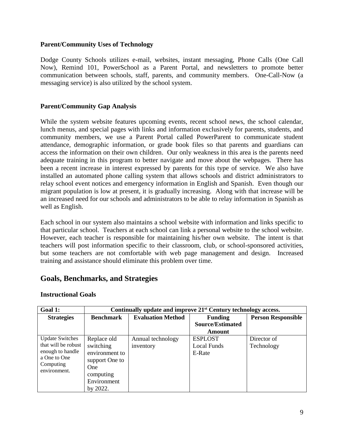#### **Parent/Community Uses of Technology**

Dodge County Schools utilizes e-mail, websites, instant messaging, Phone Calls (One Call Now), Remind 101, PowerSchool as a Parent Portal, and newsletters to promote better communication between schools, staff, parents, and community members. One-Call-Now (a messaging service) is also utilized by the school system.

### **Parent/Community Gap Analysis**

While the system website features upcoming events, recent school news, the school calendar, lunch menus, and special pages with links and information exclusively for parents, students, and community members, we use a Parent Portal called PowerParent to communicate student attendance, demographic information, or grade book files so that parents and guardians can access the information on their own children. Our only weakness in this area is the parents need adequate training in this program to better navigate and move about the webpages. There has been a recent increase in interest expressed by parents for this type of service. We also have installed an automated phone calling system that allows schools and district administrators to relay school event notices and emergency information in English and Spanish. Even though our migrant population is low at present, it is gradually increasing. Along with that increase will be an increased need for our schools and administrators to be able to relay information in Spanish as well as English.

Each school in our system also maintains a school website with information and links specific to that particular school. Teachers at each school can link a personal website to the school website. However, each teacher is responsible for maintaining his/her own website. The intent is that teachers will post information specific to their classroom, club, or school-sponsored activities, but some teachers are not comfortable with web page management and design. Increased training and assistance should eliminate this problem over time.

# **Goals, Benchmarks, and Strategies**

| Goal 1:                   | Continually update and improve 21 <sup>st</sup> Century technology access. |                          |                         |                           |
|---------------------------|----------------------------------------------------------------------------|--------------------------|-------------------------|---------------------------|
| <b>Strategies</b>         | <b>Benchmark</b>                                                           | <b>Evaluation Method</b> | <b>Funding</b>          | <b>Person Responsible</b> |
|                           |                                                                            |                          | <b>Source/Estimated</b> |                           |
|                           |                                                                            |                          | Amount                  |                           |
| <b>Update Switches</b>    | Replace old                                                                | Annual technology        | <b>ESPLOST</b>          | Director of               |
| that will be robust       | switching                                                                  | inventory                | <b>Local Funds</b>      | Technology                |
| enough to handle          | environment to                                                             |                          | E-Rate                  |                           |
| a One to One              | support One to                                                             |                          |                         |                           |
| Computing<br>environment. | <b>One</b>                                                                 |                          |                         |                           |
|                           | computing                                                                  |                          |                         |                           |
|                           | Environment                                                                |                          |                         |                           |
|                           | by 2022.                                                                   |                          |                         |                           |

#### **Instructional Goals**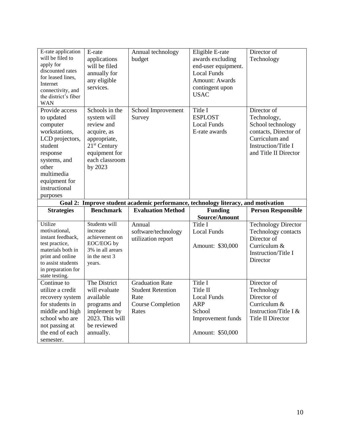| E-rate application<br>will be filed to<br>apply for<br>discounted rates<br>for leased lines,<br>Internet<br>connectivity, and<br>the district's fiber<br><b>WAN</b>                      | E-rate<br>applications<br>will be filed<br>annually for<br>any eligible<br>services.                                                       | Annual technology<br>budget                                                       | Eligible E-rate<br>awards excluding<br>end-user equipment.<br><b>Local Funds</b><br><b>Amount: Awards</b><br>contingent upon<br><b>USAC</b> | Director of<br>Technology                                                                                                                  |
|------------------------------------------------------------------------------------------------------------------------------------------------------------------------------------------|--------------------------------------------------------------------------------------------------------------------------------------------|-----------------------------------------------------------------------------------|---------------------------------------------------------------------------------------------------------------------------------------------|--------------------------------------------------------------------------------------------------------------------------------------------|
| Provide access<br>to updated<br>computer<br>workstations,<br>LCD projectors,<br>student<br>response<br>systems, and<br>other<br>multimedia<br>equipment for<br>instructional<br>purposes | Schools in the<br>system will<br>review and<br>acquire, as<br>appropriate,<br>$21st$ Century<br>equipment for<br>each classroom<br>by 2023 | School Improvement<br>Survey                                                      | Title I<br><b>ESPLOST</b><br><b>Local Funds</b><br>E-rate awards                                                                            | Director of<br>Technology,<br>School technology<br>contacts, Director of<br>Curriculum and<br>Instruction/Title I<br>and Title II Director |
|                                                                                                                                                                                          |                                                                                                                                            |                                                                                   |                                                                                                                                             |                                                                                                                                            |
|                                                                                                                                                                                          |                                                                                                                                            | Goal 2: Improve student academic performance, technology literacy, and motivation |                                                                                                                                             |                                                                                                                                            |
| <b>Strategies</b>                                                                                                                                                                        | <b>Benchmark</b>                                                                                                                           | <b>Evaluation Method</b>                                                          | <b>Funding</b><br>Source/Amount                                                                                                             | <b>Person Responsible</b>                                                                                                                  |
| Utilize<br>motivational,<br>instant feedback,<br>test practice,<br>materials both in<br>print and online<br>to assist students<br>in preparation for<br>state testing.                   | Students will<br>increase<br>achievement on<br>EOC/EOG by<br>3% in all arears<br>in the next 3<br>years.                                   | Annual<br>software/technology<br>utilization report                               | Title I<br><b>Local Funds</b><br>Amount: \$30,000                                                                                           | <b>Technology Director</b><br>Technology contacts<br>Director of<br>Curriculum &<br>Instruction/Title I<br>Director                        |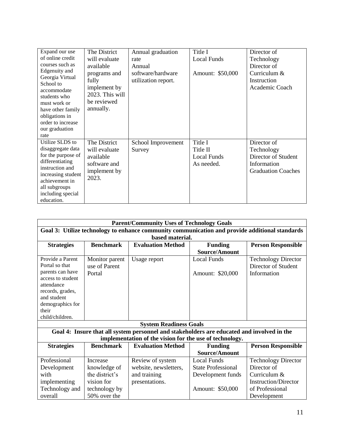| Expand our use<br>of online credit<br>courses such as<br>Edgenuity and<br>Georgia Virtual<br>School to<br>accommodate<br>students who<br>must work or<br>have other family<br>obligations in<br>order to increase<br>our graduation<br>rate | The District<br>will evaluate<br>available<br>programs and<br>fully<br>implement by<br>2023. This will<br>be reviewed<br>annually. | Annual graduation<br>rate<br>Annual<br>software/hardware<br>utilization report. | Title I<br><b>Local Funds</b><br>Amount: \$50,000 | Director of<br>Technology<br>Director of<br>Curriculum &<br>Instruction<br>Academic Coach    |
|---------------------------------------------------------------------------------------------------------------------------------------------------------------------------------------------------------------------------------------------|------------------------------------------------------------------------------------------------------------------------------------|---------------------------------------------------------------------------------|---------------------------------------------------|----------------------------------------------------------------------------------------------|
| Utilize SLDS to<br>disaggregate data<br>for the purpose of<br>differentiating<br>instruction and<br>increasing student<br>achievement in<br>all subgroups<br>including special<br>education.                                                | The District<br>will evaluate<br>available<br>software and<br>implement by<br>2023.                                                | School Improvement<br>Survey                                                    | Title I<br>Title II<br>Local Funds<br>As needed.  | Director of<br>Technology<br>Director of Student<br>Information<br><b>Graduation Coaches</b> |

| <b>Parent/Community Uses of Technology Goals</b>                                               |                                                         |                                                                                            |                           |                             |
|------------------------------------------------------------------------------------------------|---------------------------------------------------------|--------------------------------------------------------------------------------------------|---------------------------|-----------------------------|
| Goal 3: Utilize technology to enhance community communication and provide additional standards |                                                         |                                                                                            |                           |                             |
|                                                                                                |                                                         | based material.                                                                            |                           |                             |
| <b>Strategies</b>                                                                              | <b>Benchmark</b>                                        | <b>Evaluation Method</b>                                                                   | <b>Funding</b>            | <b>Person Responsible</b>   |
|                                                                                                |                                                         |                                                                                            | Source/Amount             |                             |
| Provide a Parent                                                                               | Monitor parent                                          | Usage report                                                                               | <b>Local Funds</b>        | <b>Technology Director</b>  |
| Portal so that                                                                                 | use of Parent                                           |                                                                                            |                           | Director of Student         |
| parents can have                                                                               | Portal                                                  |                                                                                            | Amount: \$20,000          | Information                 |
| access to student                                                                              |                                                         |                                                                                            |                           |                             |
| attendance                                                                                     |                                                         |                                                                                            |                           |                             |
| records, grades,<br>and student                                                                |                                                         |                                                                                            |                           |                             |
| demographics for                                                                               |                                                         |                                                                                            |                           |                             |
| their                                                                                          |                                                         |                                                                                            |                           |                             |
| child/children.                                                                                |                                                         |                                                                                            |                           |                             |
|                                                                                                |                                                         | <b>System Readiness Goals</b>                                                              |                           |                             |
|                                                                                                |                                                         | Goal 4: Insure that all system personnel and stakeholders are educated and involved in the |                           |                             |
|                                                                                                | implementation of the vision for the use of technology. |                                                                                            |                           |                             |
| <b>Strategies</b>                                                                              | <b>Benchmark</b>                                        | <b>Evaluation Method</b>                                                                   | <b>Funding</b>            | <b>Person Responsible</b>   |
|                                                                                                |                                                         |                                                                                            | Source/Amount             |                             |
| Professional                                                                                   | <b>Increase</b>                                         | Review of system                                                                           | <b>Local Funds</b>        | <b>Technology Director</b>  |
| Development                                                                                    | knowledge of                                            | website, newsletters,                                                                      | <b>State Professional</b> | Director of                 |
| with                                                                                           | the district's                                          | and training                                                                               | Development funds         | Curriculum &                |
| implementing                                                                                   | vision for                                              | presentations.                                                                             |                           | <b>Instruction/Director</b> |
| Technology and                                                                                 | technology by                                           |                                                                                            | Amount: \$50,000          | of Professional             |
| overall                                                                                        | 50% over the                                            |                                                                                            |                           | Development                 |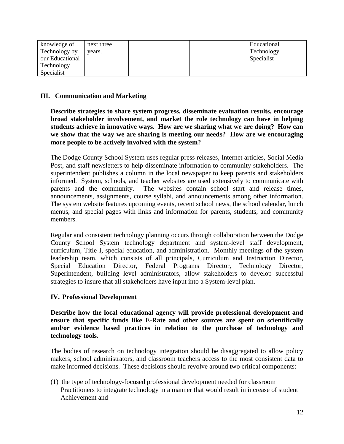| knowledge of    | next three |  | Educational |
|-----------------|------------|--|-------------|
| Technology by   | years.     |  | Technology  |
| our Educational |            |  | Specialist  |
| Technology      |            |  |             |
| Specialist      |            |  |             |

## **III. Communication and Marketing**

**Describe strategies to share system progress, disseminate evaluation results, encourage broad stakeholder involvement, and market the role technology can have in helping students achieve in innovative ways. How are we sharing what we are doing? How can we show that the way we are sharing is meeting our needs? How are we encouraging more people to be actively involved with the system?**

The Dodge County School System uses regular press releases, Internet articles, Social Media Post, and staff newsletters to help disseminate information to community stakeholders. The superintendent publishes a column in the local newspaper to keep parents and stakeholders informed. System, schools, and teacher websites are used extensively to communicate with parents and the community. The websites contain school start and release times, announcements, assignments, course syllabi, and announcements among other information. The system website features upcoming events, recent school news, the school calendar, lunch menus, and special pages with links and information for parents, students, and community members.

Regular and consistent technology planning occurs through collaboration between the Dodge County School System technology department and system-level staff development, curriculum, Title I, special education, and administration. Monthly meetings of the system leadership team, which consists of all principals, Curriculum and Instruction Director, Special Education Director, Federal Programs Director, Technology Director, Superintendent, building level administrators, allow stakeholders to develop successful strategies to insure that all stakeholders have input into a System-level plan.

## **IV. Professional Development**

**Describe how the local educational agency will provide professional development and ensure that specific funds like E-Rate and other sources are spent on scientifically and/or evidence based practices in relation to the purchase of technology and technology tools.**

The bodies of research on technology integration should be disaggregated to allow policy makers, school administrators, and classroom teachers access to the most consistent data to make informed decisions. These decisions should revolve around two critical components:

(1) the type of technology-focused professional development needed for classroom Practitioners to integrate technology in a manner that would result in increase of student Achievement and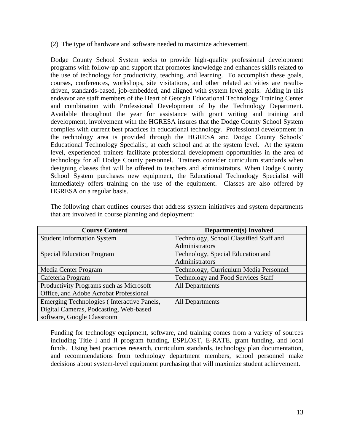(2) The type of hardware and software needed to maximize achievement.

Dodge County School System seeks to provide high-quality professional development programs with follow-up and support that promotes knowledge and enhances skills related to the use of technology for productivity, teaching, and learning. To accomplish these goals, courses, conferences, workshops, site visitations, and other related activities are resultsdriven, standards-based, job-embedded, and aligned with system level goals. Aiding in this endeavor are staff members of the Heart of Georgia Educational Technology Training Center and combination with Professional Development of by the Technology Department. Available throughout the year for assistance with grant writing and training and development, involvement with the HGRESA insures that the Dodge County School System complies with current best practices in educational technology. Professional development in the technology area is provided through the HGRESA and Dodge County Schools' Educational Technology Specialist, at each school and at the system level. At the system level, experienced trainers facilitate professional development opportunities in the area of technology for all Dodge County personnel. Trainers consider curriculum standards when designing classes that will be offered to teachers and administrators. When Dodge County School System purchases new equipment, the Educational Technology Specialist will immediately offers training on the use of the equipment. Classes are also offered by HGRESA on a regular basis.

| <b>Course Content</b>                      | <b>Department(s)</b> Involved             |
|--------------------------------------------|-------------------------------------------|
| <b>Student Information System</b>          | Technology, School Classified Staff and   |
|                                            | Administrators                            |
| <b>Special Education Program</b>           | Technology, Special Education and         |
|                                            | Administrators                            |
| Media Center Program                       | Technology, Curriculum Media Personnel    |
| Cafeteria Program                          | <b>Technology and Food Services Staff</b> |
| Productivity Programs such as Microsoft    | <b>All Departments</b>                    |
| Office, and Adobe Acrobat Professional     |                                           |
| Emerging Technologies (Interactive Panels, | <b>All Departments</b>                    |
| Digital Cameras, Podcasting, Web-based     |                                           |
| software, Google Classroom                 |                                           |

The following chart outlines courses that address system initiatives and system departments that are involved in course planning and deployment:

Funding for technology equipment, software, and training comes from a variety of sources including Title I and II program funding, ESPLOST, E-RATE, grant funding, and local funds. Using best practices research, curriculum standards, technology plan documentation, and recommendations from technology department members, school personnel make decisions about system-level equipment purchasing that will maximize student achievement.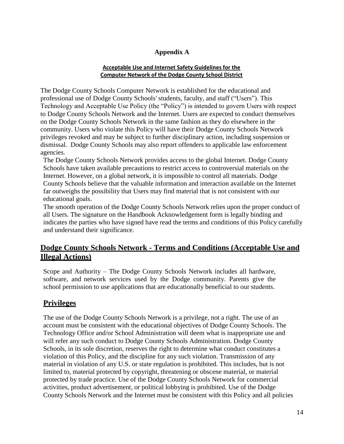## **Appendix A**

#### **Acceptable Use and Internet Safety Guidelines for the Computer Network of the Dodge County School District**

The Dodge County Schools Computer Network is established for the educational and professional use of Dodge County Schools' students, faculty, and staff ("Users"). This Technology and Acceptable Use Policy (the "Policy") is intended to govern Users with respect to Dodge County Schools Network and the Internet. Users are expected to conduct themselves on the Dodge County Schools Network in the same fashion as they do elsewhere in the community. Users who violate this Policy will have their Dodge County Schools Network privileges revoked and may be subject to further disciplinary action, including suspension or dismissal. Dodge County Schools may also report offenders to applicable law enforcement agencies.

The Dodge County Schools Network provides access to the global Internet. Dodge County Schools have taken available precautions to restrict access to controversial materials on the Internet. However, on a global network, it is impossible to control all materials. Dodge County Schools believe that the valuable information and interaction available on the Internet far outweighs the possibility that Users may find material that is not consistent with our educational goals.

The smooth operation of the Dodge County Schools Network relies upon the proper conduct of all Users. The signature on the Handbook Acknowledgement form is legally binding and indicates the parties who have signed have read the terms and conditions of this Policy carefully and understand their significance.

# **Dodge County Schools Network - Terms and Conditions (Acceptable Use and Illegal Actions)**

Scope and Authority – The Dodge County Schools Network includes all hardware, software, and network services used by the Dodge community. Parents give the school permission to use applications that are educationally beneficial to our students.

# **Privileges**

The use of the Dodge County Schools Network is a privilege, not a right. The use of an account must be consistent with the educational objectives of Dodge County Schools. The Technology Office and/or School Administration will deem what is inappropriate use and will refer any such conduct to Dodge County Schools Administration. Dodge County Schools, in its sole discretion, reserves the right to determine what conduct constitutes a violation of this Policy, and the discipline for any such violation. Transmission of any material in violation of any U.S. or state regulation is prohibited. This includes, but is not limited to, material protected by copyright, threatening or obscene material, or material protected by trade practice. Use of the Dodge County Schools Network for commercial activities, product advertisement, or political lobbying is prohibited. Use of the Dodge County Schools Network and the Internet must be consistent with this Policy and all policies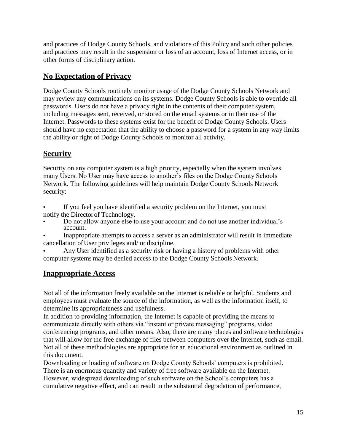and practices of Dodge County Schools, and violations of this Policy and such other policies and practices may result in the suspension or loss of an account, loss of Internet access, or in other forms of disciplinary action.

# **No Expectation of Privacy**

Dodge County Schools routinely monitor usage of the Dodge County Schools Network and may review any communications on its systems. Dodge County Schools is able to override all passwords. Users do not have a privacy right in the contents of their computer system, including messages sent, received, or stored on the email systems or in their use of the Internet. Passwords to these systems exist for the benefit of Dodge County Schools. Users should have no expectation that the ability to choose a password for a system in any way limits the ability or right of Dodge County Schools to monitor all activity.

# **Security**

Security on any computer system is a high priority, especially when the system involves many Users. No User may have access to another's files on the Dodge County Schools Network. The following guidelines will help maintain Dodge County Schools Network security:

**•** If you feel you have identified a security problem on the Internet, you must notify the Directorof Technology.

- **•** Do not allow anyone else to use your account and do not use another individual's account.
- **•** Inappropriate attempts to access a server as an administrator will result in immediate cancellation ofUser privileges and/ or discipline.

**•** Any User identified as a security risk or having a history of problems with other computer systemsmay be denied access to the Dodge County Schools Network.

# **Inappropriate Access**

Not all of the information freely available on the Internet is reliable or helpful. Students and employees must evaluate the source of the information, as well as the information itself, to determine its appropriateness and usefulness.

In addition to providing information, the Internet is capable of providing the means to communicate directly with others via "instant or private messaging" programs, video conferencing programs, and other means. Also, there are many places and software technologies that will allow for the free exchange of files between computers over the Internet, such as email. Not all of these methodologies are appropriate for an educational environment as outlined in this document.

Downloading or loading of software on Dodge County Schools' computers is prohibited. There is an enormous quantity and variety of free software available on the Internet. However, widespread downloading of such software on the School's computers has a cumulative negative effect, and can result in the substantial degradation of performance,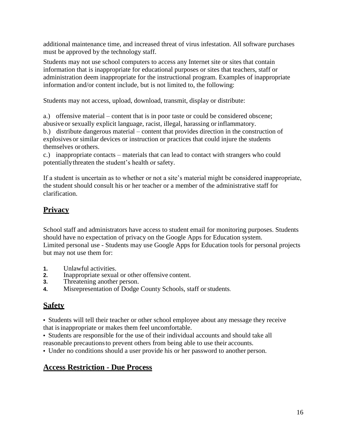additional maintenance time, and increased threat of virus infestation. All software purchases must be approved by the technology staff.

Students may not use school computers to access any Internet site or sites that contain information that is inappropriate for educational purposes or sites that teachers, staff or administration deem inappropriate for the instructional program. Examples of inappropriate information and/or content include, but is not limited to, the following:

Students may not access, upload, download, transmit, display or distribute:

a.) offensive material – content that is in poor taste or could be considered obscene; abusive or sexually explicit language, racist, illegal, harassing or inflammatory.

b.) distribute dangerous material – content that provides direction in the construction of explosives or similar devices or instruction or practices that could injure the students themselves orothers.

c.) inappropriate contacts – materials that can lead to contact with strangers who could potentiallythreaten the student's health or safety.

If a student is uncertain as to whether or not a site's material might be considered inappropriate, the student should consult his or her teacher or a member of the administrative staff for clarification.

# **Privacy**

School staff and administrators have access to student email for monitoring purposes. Students should have no expectation of privacy on the Google Apps for Education system. Limited personal use - Students may use Google Apps for Education tools for personal projects but may not use them for:

- **1.** Unlawful activities.
- **2.** Inappropriate sexual or other offensive content.
- **3.** Threatening another person.
- **4.** Misrepresentation of Dodge County Schools, staff or students.

# **Safety**

**•** Students will tell their teacher or other school employee about any message they receive that isinappropriate or makes them feel uncomfortable.

**•** Students are responsible for the use of their individual accounts and should take all reasonable precautionsto prevent others from being able to use their accounts.

**•** Under no conditions should a user provide his or her password to another person.

# **Access Restriction - Due Process**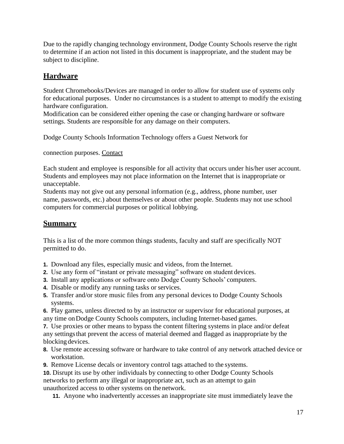Due to the rapidly changing technology environment, Dodge County Schools reserve the right to determine if an action not listed in this document is inappropriate, and the student may be subject to discipline.

# **Hardware**

Student Chromebooks/Devices are managed in order to allow for student use of systems only for educational purposes. Under no circumstances is a student to attempt to modify the existing hardware configuration.

Modification can be considered either opening the case or changing hardware or software settings. Students are responsible for any damage on their computers.

Dodge County Schools Information Technology offers a Guest Network for

connection purposes. Contact

Each student and employee is responsible for all activity that occurs under his/her user account. Students and employees may not place information on the Internet that is inappropriate or unacceptable.

Students may not give out any personal information (e.g., address, phone number, user name, passwords, etc.) about themselves or about other people. Students may not use school computers for commercial purposes or political lobbying.

# **Summary**

This is a list of the more common things students, faculty and staff are specifically NOT permitted to do.

- **1.** Download any files, especially music and videos, from the Internet.
- **2.** Use any form of "instant or private messaging" software on student devices.
- **3.** Install any applications or software onto Dodge County Schools' computers.
- **4.** Disable or modify any running tasks or services.
- **5.** Transfer and/or store music files from any personal devices to Dodge County Schools systems.

**6.** Play games, unless directed to by an instructor or supervisor for educational purposes, at any time onDodge County Schools computers, including Internet-based games.

**7.** Use proxies or other means to bypass the content filtering systems in place and/or defeat any settingsthat prevent the access of material deemed and flagged as inappropriate by the blocking devices.

- **8.** Use remote accessing software or hardware to take control of any network attached device or workstation.
- **9.** Remove License decals or inventory control tags attached to the systems.

**10.** Disrupt its use by other individuals by connecting to other Dodge County Schools networks to perform any illegal or inappropriate act, such as an attempt to gain unauthorized access to other systems on thenetwork.

**11.** Anyone who inadvertently accesses an inappropriate site must immediately leave the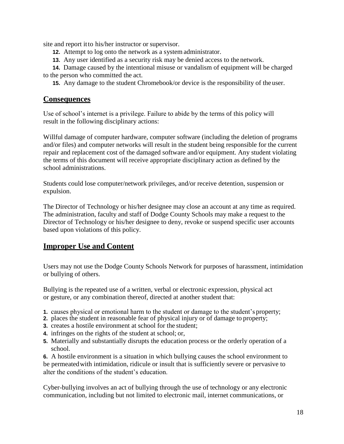site and report itto his/her instructor or supervisor.

- **12.** Attempt to log onto the network as a system administrator.
- **13.** Any user identified as a security risk may be denied access to the network.

**14.** Damage caused by the intentional misuse or vandalism of equipment will be charged to the person who committed the act.

**15.** Any damage to the student Chromebook/or device is the responsibility of the user.

## **Consequences**

Use of school's internet is a privilege. Failure to abide by the terms of this policy will result in the following disciplinary actions:

Willful damage of computer hardware, computer software (including the deletion of programs and/or files) and computer networks will result in the student being responsible for the current repair and replacement cost of the damaged software and/or equipment. Any student violating the terms of this document will receive appropriate disciplinary action as defined by the school administrations.

Students could lose computer/network privileges, and/or receive detention, suspension or expulsion.

The Director of Technology or his/her designee may close an account at any time as required. The administration, faculty and staff of Dodge County Schools may make a request to the Director of Technology or his/her designee to deny, revoke or suspend specific user accounts based upon violations of this policy.

# **Improper Use and Content**

Users may not use the Dodge County Schools Network for purposes of harassment, intimidation or bullying of others.

Bullying is the repeated use of a written, verbal or electronic expression, physical act or gesture, or any combination thereof, directed at another student that:

- **1.** causes physical or emotional harm to the student or damage to the student's property;
- **2.** places the student in reasonable fear of physical injury or of damage to property;
- **3.** creates a hostile environment at school for the student;
- **4.** infringes on the rights of the student at school; or,
- **5.** Materially and substantially disrupts the education process or the orderly operation of a school.

**6.** A hostile environment is a situation in which bullying causes the school environment to be permeatedwith intimidation, ridicule or insult that is sufficiently severe or pervasive to alter the conditions of the student's education.

Cyber-bullying involves an act of bullying through the use of technology or any electronic communication, including but not limited to electronic mail, internet communications, or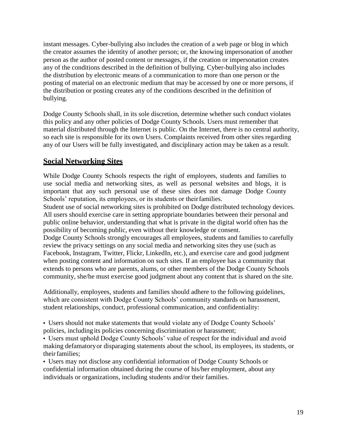instant messages. Cyber-bullying also includes the creation of a web page or blog in which the creator assumes the identity of another person; or, the knowing impersonation of another person as the author of posted content or messages, if the creation or impersonation creates any of the conditions described in the definition of bullying. Cyber-bullying also includes the distribution by electronic means of a communication to more than one person or the posting of material on an electronic medium that may be accessed by one or more persons, if the distribution or posting creates any of the conditions described in the definition of bullying.

Dodge County Schools shall, in its sole discretion, determine whether such conduct violates this policy and any other policies of Dodge County Schools. Users must remember that material distributed through the Internet is public. On the Internet, there is no central authority, so each site is responsible for its own Users. Complaints received from other sites regarding any of our Users will be fully investigated, and disciplinary action may be taken as a result.

# **Social Networking Sites**

While Dodge County Schools respects the right of employees, students and families to use social media and networking sites, as well as personal websites and blogs, it is important that any such personal use of these sites does not damage Dodge County Schools' reputation, its employees, or its students or their families.

Student use of social networking sites is prohibited on Dodge distributed technology devices. All users should exercise care in setting appropriate boundaries between their personal and public online behavior, understanding that what is private in the digital world often has the possibility of becoming public, even without their knowledge or consent.

Dodge County Schools strongly encourages all employees, students and families to carefully review the privacy settings on any social media and networking sites they use (such as Facebook, Instagram, Twitter, Flickr, LinkedIn, etc.), and exercise care and good judgment when posting content and information on such sites. If an employee has a community that extends to persons who are parents, alums, or other members of the Dodge County Schools community, she/he must exercise good judgment about any content that is shared on the site.

Additionally, employees, students and families should adhere to the following guidelines, which are consistent with Dodge County Schools' community standards on harassment, student relationships, conduct, professional communication, and confidentiality:

**•** Users should not make statements that would violate any of Dodge County Schools' policies, including its policies concerning discrimination or harassment;

**•** Users must uphold Dodge County Schools' value of respect for the individual and avoid making defamatoryor disparaging statements about the school, its employees, its students, or theirfamilies;

**•** Users may not disclose any confidential information of Dodge County Schools or confidential information obtained during the course of his/her employment, about any individuals or organizations, including students and/or their families.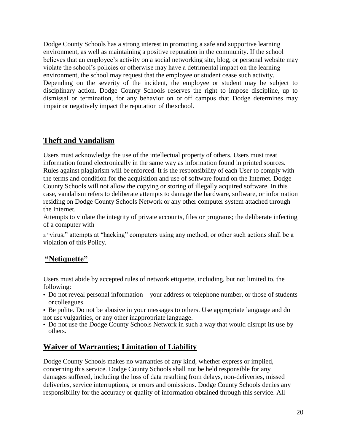Dodge County Schools has a strong interest in promoting a safe and supportive learning environment, as well as maintaining a positive reputation in the community. If the school believes that an employee's activity on a social networking site, blog, or personal website may violate the school's policies or otherwise may have a detrimental impact on the learning environment, the school may request that the employee or student cease such activity. Depending on the severity of the incident, the employee or student may be subject to disciplinary action. Dodge County Schools reserves the right to impose discipline, up to dismissal or termination, for any behavior on or off campus that Dodge determines may impair or negatively impact the reputation of the school.

# **Theft and Vandalism**

Users must acknowledge the use of the intellectual property of others. Users must treat information found electronically in the same way as information found in printed sources. Rules against plagiarism will be enforced. It is the responsibility of each User to comply with the terms and condition for the acquisition and use of software found on the Internet. Dodge County Schools will not allow the copying or storing of illegally acquired software. In this case, vandalism refers to deliberate attempts to damage the hardware, software, or information residing on Dodge County Schools Network or any other computer system attached through the Internet.

Attempts to violate the integrity of private accounts, files or programs; the deliberate infecting of a computer with

a "virus," attempts at "hacking" computers using any method, or other such actions shall be a violation of this Policy.

# **"Netiquette"**

Users must abide by accepted rules of network etiquette, including, but not limited to, the following:

- **•** Do not reveal personal information your address or telephone number, or those of students orcolleagues.
- **•** Be polite. Do not be abusive in your messages to others. Use appropriate language and do not use vulgarities, or any other inappropriate language.
- **•** Do not use the Dodge County Schools Network in such a way that would disrupt its use by others.

# **Waiver of Warranties; Limitation of Liability**

Dodge County Schools makes no warranties of any kind, whether express or implied, concerning this service. Dodge County Schools shall not be held responsible for any damages suffered, including the loss of data resulting from delays, non-deliveries, missed deliveries, service interruptions, or errors and omissions. Dodge County Schools denies any responsibility for the accuracy or quality of information obtained through this service. All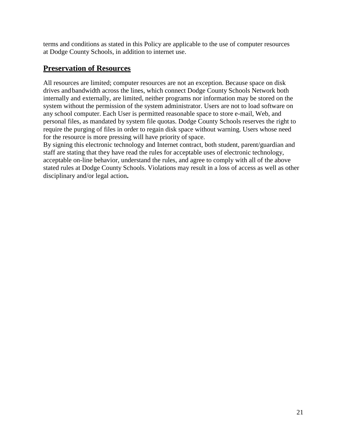terms and conditions as stated in this Policy are applicable to the use of computer resources at Dodge County Schools, in addition to internet use.

# **Preservation of Resources**

All resources are limited; computer resources are not an exception. Because space on disk drives andbandwidth across the lines, which connect Dodge County Schools Network both internally and externally, are limited, neither programs nor information may be stored on the system without the permission of the system administrator. Users are not to load software on any school computer. Each User is permitted reasonable space to store e-mail, Web, and personal files, as mandated by system file quotas. Dodge County Schools reserves the right to require the purging of files in order to regain disk space without warning. Users whose need for the resource is more pressing will have priority of space.

By signing this electronic technology and Internet contract, both student, parent/guardian and staff are stating that they have read the rules for acceptable uses of electronic technology, acceptable on-line behavior, understand the rules, and agree to comply with all of the above stated rules at Dodge County Schools. Violations may result in a loss of access as well as other disciplinary and/or legal action**.**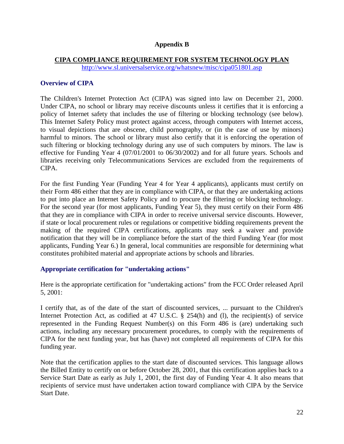#### **Appendix B**

#### **CIPA COMPLIANCE REQUIREMENT FOR SYSTEM TECHNOLOGY PLAN**

<http://www.sl.universalservice.org/whatsnew/misc/cipa051801.asp>

### **Overview of CIPA**

The Children's Internet Protection Act (CIPA) was signed into law on December 21, 2000. Under CIPA, no school or library may receive discounts unless it certifies that it is enforcing a policy of Internet safety that includes the use of filtering or blocking technology (see below). This Internet Safety Policy must protect against access, through computers with Internet access, to visual depictions that are obscene, child pornography, or (in the case of use by minors) harmful to minors. The school or library must also certify that it is enforcing the operation of such filtering or blocking technology during any use of such computers by minors. The law is effective for Funding Year 4 (07/01/2001 to 06/30/2002) and for all future years. Schools and libraries receiving only Telecommunications Services are excluded from the requirements of CIPA.

For the first Funding Year (Funding Year 4 for Year 4 applicants), applicants must certify on their Form 486 either that they are in compliance with CIPA, or that they are undertaking actions to put into place an Internet Safety Policy and to procure the filtering or blocking technology. For the second year (for most applicants, Funding Year 5), they must certify on their Form 486 that they are in compliance with CIPA in order to receive universal service discounts. However, if state or local procurement rules or regulations or competitive bidding requirements prevent the making of the required CIPA certifications, applicants may seek a waiver and provide notification that they will be in compliance before the start of the third Funding Year (for most applicants, Funding Year 6.) In general, local communities are responsible for determining what constitutes prohibited material and appropriate actions by schools and libraries.

## **Appropriate certification for "undertaking actions"**

Here is the appropriate certification for "undertaking actions" from the FCC Order released April 5, 2001:

I certify that, as of the date of the start of discounted services, ... pursuant to the Children's Internet Protection Act, as codified at 47 U.S.C. § 254(h) and (l), the recipient(s) of service represented in the Funding Request Number(s) on this Form 486 is (are) undertaking such actions, including any necessary procurement procedures, to comply with the requirements of CIPA for the next funding year, but has (have) not completed all requirements of CIPA for this funding year.

Note that the certification applies to the start date of discounted services. This language allows the Billed Entity to certify on or before October 28, 2001, that this certification applies back to a Service Start Date as early as July 1, 2001, the first day of Funding Year 4. It also means that recipients of service must have undertaken action toward compliance with CIPA by the Service Start Date.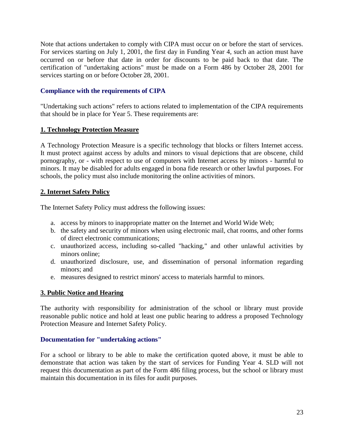Note that actions undertaken to comply with CIPA must occur on or before the start of services. For services starting on July 1, 2001, the first day in Funding Year 4, such an action must have occurred on or before that date in order for discounts to be paid back to that date. The certification of "undertaking actions" must be made on a Form 486 by October 28, 2001 for services starting on or before October 28, 2001.

## **Compliance with the requirements of CIPA**

"Undertaking such actions" refers to actions related to implementation of the CIPA requirements that should be in place for Year 5. These requirements are:

## **1. Technology Protection Measure**

A Technology Protection Measure is a specific technology that blocks or filters Internet access. It must protect against access by adults and minors to visual depictions that are obscene, child pornography, or - with respect to use of computers with Internet access by minors - harmful to minors. It may be disabled for adults engaged in bona fide research or other lawful purposes. For schools, the policy must also include monitoring the online activities of minors.

## **2. Internet Safety Policy**

The Internet Safety Policy must address the following issues:

- a. access by minors to inappropriate matter on the Internet and World Wide Web;
- b. the safety and security of minors when using electronic mail, chat rooms, and other forms of direct electronic communications;
- c. unauthorized access, including so-called "hacking," and other unlawful activities by minors online;
- d. unauthorized disclosure, use, and dissemination of personal information regarding minors; and
- e. measures designed to restrict minors' access to materials harmful to minors.

# **3. Public Notice and Hearing**

The authority with responsibility for administration of the school or library must provide reasonable public notice and hold at least one public hearing to address a proposed Technology Protection Measure and Internet Safety Policy.

# **Documentation for "undertaking actions"**

For a school or library to be able to make the certification quoted above, it must be able to demonstrate that action was taken by the start of services for Funding Year 4. SLD will not request this documentation as part of the Form 486 filing process, but the school or library must maintain this documentation in its files for audit purposes.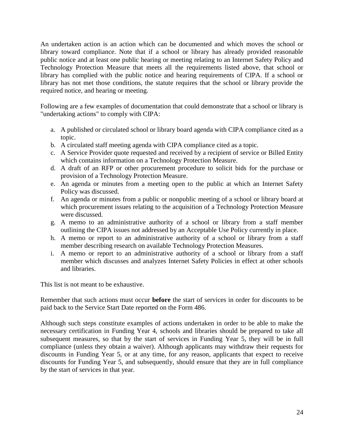An undertaken action is an action which can be documented and which moves the school or library toward compliance. Note that if a school or library has already provided reasonable public notice and at least one public hearing or meeting relating to an Internet Safety Policy and Technology Protection Measure that meets all the requirements listed above, that school or library has complied with the public notice and hearing requirements of CIPA. If a school or library has not met those conditions, the statute requires that the school or library provide the required notice, and hearing or meeting.

Following are a few examples of documentation that could demonstrate that a school or library is "undertaking actions" to comply with CIPA:

- a. A published or circulated school or library board agenda with CIPA compliance cited as a topic.
- b. A circulated staff meeting agenda with CIPA compliance cited as a topic.
- c. A Service Provider quote requested and received by a recipient of service or Billed Entity which contains information on a Technology Protection Measure.
- d. A draft of an RFP or other procurement procedure to solicit bids for the purchase or provision of a Technology Protection Measure.
- e. An agenda or minutes from a meeting open to the public at which an Internet Safety Policy was discussed.
- f. An agenda or minutes from a public or nonpublic meeting of a school or library board at which procurement issues relating to the acquisition of a Technology Protection Measure were discussed.
- g. A memo to an administrative authority of a school or library from a staff member outlining the CIPA issues not addressed by an Acceptable Use Policy currently in place.
- h. A memo or report to an administrative authority of a school or library from a staff member describing research on available Technology Protection Measures.
- i. A memo or report to an administrative authority of a school or library from a staff member which discusses and analyzes Internet Safety Policies in effect at other schools and libraries.

This list is not meant to be exhaustive.

Remember that such actions must occur **before** the start of services in order for discounts to be paid back to the Service Start Date reported on the Form 486.

Although such steps constitute examples of actions undertaken in order to be able to make the necessary certification in Funding Year 4, schools and libraries should be prepared to take all subsequent measures, so that by the start of services in Funding Year 5, they will be in full compliance (unless they obtain a waiver). Although applicants may withdraw their requests for discounts in Funding Year 5, or at any time, for any reason, applicants that expect to receive discounts for Funding Year 5, and subsequently, should ensure that they are in full compliance by the start of services in that year.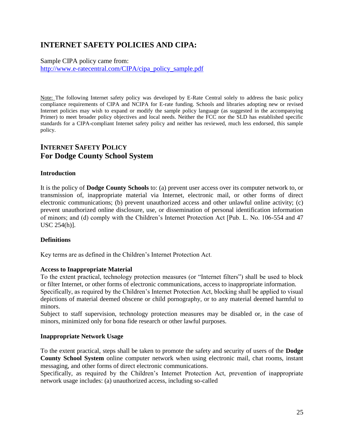# **INTERNET SAFETY POLICIES AND CIPA:**

Sample CIPA policy came from: [http://www.e-ratecentral.com/CIPA/cipa\\_policy\\_sample.pdf](http://www.e-ratecentral.com/CIPA/cipa_policy_sample.pdf)

Note: The following Internet safety policy was developed by E-Rate Central solely to address the basic policy compliance requirements of CIPA and NCIPA for E-rate funding. Schools and libraries adopting new or revised Internet policies may wish to expand or modify the sample policy language (as suggested in the accompanying Primer) to meet broader policy objectives and local needs. Neither the FCC nor the SLD has established specific standards for a CIPA-compliant Internet safety policy and neither has reviewed, much less endorsed, this sample policy.

# **INTERNET SAFETY POLICY For Dodge County School System**

#### **Introduction**

It is the policy of **Dodge County Schools** to: (a) prevent user access over its computer network to, or transmission of, inappropriate material via Internet, electronic mail, or other forms of direct electronic communications; (b) prevent unauthorized access and other unlawful online activity; (c) prevent unauthorized online disclosure, use, or dissemination of personal identification information of minors; and (d) comply with the Children's Internet Protection Act [Pub. L. No. 106-554 and 47 USC 254(h)].

#### **Definitions**

Key terms are as defined in the Children's Internet Protection Act.

#### **Access to Inappropriate Material**

To the extent practical, technology protection measures (or "Internet filters") shall be used to block or filter Internet, or other forms of electronic communications, access to inappropriate information. Specifically, as required by the Children's Internet Protection Act, blocking shall be applied to visual depictions of material deemed obscene or child pornography, or to any material deemed harmful to

minors.

Subject to staff supervision, technology protection measures may be disabled or, in the case of minors, minimized only for bona fide research or other lawful purposes.

#### **Inappropriate Network Usage**

To the extent practical, steps shall be taken to promote the safety and security of users of the **Dodge County School System** online computer network when using electronic mail, chat rooms, instant messaging, and other forms of direct electronic communications.

Specifically, as required by the Children's Internet Protection Act, prevention of inappropriate network usage includes: (a) unauthorized access, including so-called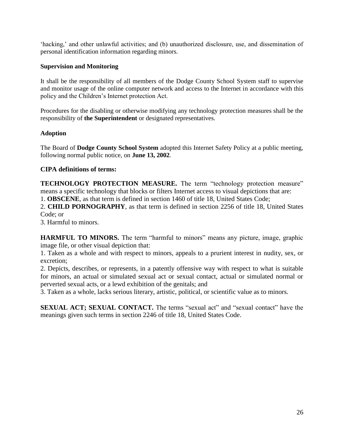'hacking,' and other unlawful activities; and (b) unauthorized disclosure, use, and dissemination of personal identification information regarding minors.

#### **Supervision and Monitoring**

It shall be the responsibility of all members of the Dodge County School System staff to supervise and monitor usage of the online computer network and access to the Internet in accordance with this policy and the Children's Internet protection Act.

Procedures for the disabling or otherwise modifying any technology protection measures shall be the responsibility of **the Superintendent** or designated representatives.

#### **Adoption**

The Board of **Dodge County School System** adopted this Internet Safety Policy at a public meeting, following normal public notice, on **June 13, 2002**.

### **CIPA definitions of terms:**

**TECHNOLOGY PROTECTION MEASURE.** The term "technology protection measure" means a specific technology that blocks or filters Internet access to visual depictions that are:

1. **OBSCENE**, as that term is defined in section 1460 of title 18, United States Code;

2. **CHILD PORNOGRAPHY**, as that term is defined in section 2256 of title 18, United States Code; or

3. Harmful to minors.

**HARMFUL TO MINORS.** The term "harmful to minors" means any picture, image, graphic image file, or other visual depiction that:

1. Taken as a whole and with respect to minors, appeals to a prurient interest in nudity, sex, or excretion;

2. Depicts, describes, or represents, in a patently offensive way with respect to what is suitable for minors, an actual or simulated sexual act or sexual contact, actual or simulated normal or perverted sexual acts, or a lewd exhibition of the genitals; and

3. Taken as a whole, lacks serious literary, artistic, political, or scientific value as to minors.

**SEXUAL ACT; SEXUAL CONTACT.** The terms "sexual act" and "sexual contact" have the meanings given such terms in section 2246 of title 18, United States Code.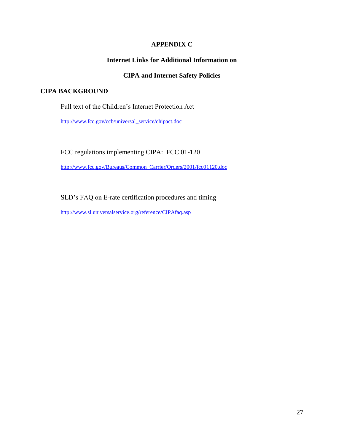## **APPENDIX C**

## **Internet Links for Additional Information on**

## **CIPA and Internet Safety Policies**

#### **CIPA BACKGROUND**

Full text of the Children's Internet Protection Act

[http://www.fcc.gov/ccb/universal\\_service/chipact.doc](http://www.fcc.gov/ccb/universal_service/chipact.doc)

FCC regulations implementing CIPA: FCC 01-120

[http://www.fcc.gov/Bureaus/Common\\_Carrier/Orders/2001/fcc01120.doc](http://www.fcc.gov/Bureaus/Common_Carrier/Orders/2001/fcc01120.doc)

SLD's FAQ on E-rate certification procedures and timing

<http://www.sl.universalservice.org/reference/CIPAfaq.asp>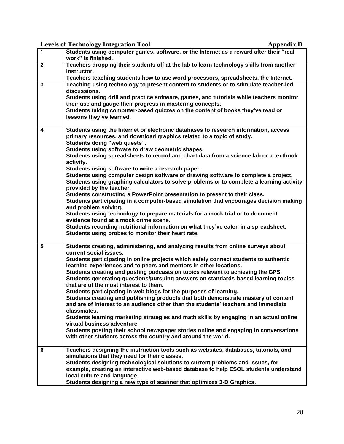|                | <b>Levels of Technology Integration Tool</b><br><b>Appendix D</b>                                                                                       |
|----------------|---------------------------------------------------------------------------------------------------------------------------------------------------------|
| 1              | Students using computer games, software, or the Internet as a reward after their "real                                                                  |
|                | work" is finished.                                                                                                                                      |
| $\overline{2}$ | Teachers dropping their students off at the lab to learn technology skills from another<br>instructor.                                                  |
|                | Teachers teaching students how to use word processors, spreadsheets, the Internet.                                                                      |
| $\mathbf{3}$   | Teaching using technology to present content to students or to stimulate teacher-led                                                                    |
|                | discussions.                                                                                                                                            |
|                | Students using drill and practice software, games, and tutorials while teachers monitor                                                                 |
|                | their use and gauge their progress in mastering concepts.                                                                                               |
|                | Students taking computer-based quizzes on the content of books they've read or                                                                          |
|                | lessons they've learned.                                                                                                                                |
|                |                                                                                                                                                         |
| 4              | Students using the Internet or electronic databases to research information, access                                                                     |
|                | primary resources, and download graphics related to a topic of study.<br>Students doing "web quests".                                                   |
|                | Students using software to draw geometric shapes.                                                                                                       |
|                | Students using spreadsheets to record and chart data from a science lab or a textbook                                                                   |
|                | activity.                                                                                                                                               |
|                | Students using software to write a research paper.                                                                                                      |
|                | Students using computer design software or drawing software to complete a project.                                                                      |
|                | Students using graphing calculators to solve problems or to complete a learning activity                                                                |
|                | provided by the teacher.<br>Students constructing a PowerPoint presentation to present to their class.                                                  |
|                | Students participating in a computer-based simulation that encourages decision making                                                                   |
|                | and problem solving.                                                                                                                                    |
|                | Students using technology to prepare materials for a mock trial or to document                                                                          |
|                | evidence found at a mock crime scene.                                                                                                                   |
|                | Students recording nutritional information on what they've eaten in a spreadsheet.                                                                      |
|                | Students using probes to monitor their heart rate.                                                                                                      |
| 5              | Students creating, administering, and analyzing results from online surveys about                                                                       |
|                | current social issues.                                                                                                                                  |
|                | Students participating in online projects which safely connect students to authentic                                                                    |
|                | learning experiences and to peers and mentors in other locations.                                                                                       |
|                | Students creating and posting podcasts on topics relevant to achieving the GPS                                                                          |
|                | Students generating questions/pursuing answers on standards-based learning topics                                                                       |
|                | that are of the most interest to them.                                                                                                                  |
|                | Students participating in web blogs for the purposes of learning.<br>Students creating and publishing products that both demonstrate mastery of content |
|                | and are of interest to an audience other than the students' teachers and immediate                                                                      |
|                | classmates.                                                                                                                                             |
|                | Students learning marketing strategies and math skills by engaging in an actual online                                                                  |
|                | virtual business adventure.                                                                                                                             |
|                | Students posting their school newspaper stories online and engaging in conversations                                                                    |
|                | with other students across the country and around the world.                                                                                            |
| 6              | Teachers designing the instruction tools such as websites, databases, tutorials, and                                                                    |
|                | simulations that they need for their classes.                                                                                                           |
|                | Students designing technological solutions to current problems and issues, for                                                                          |
|                | example, creating an interactive web-based database to help ESOL students understand                                                                    |
|                | local culture and language.                                                                                                                             |
|                | Students designing a new type of scanner that optimizes 3-D Graphics.                                                                                   |